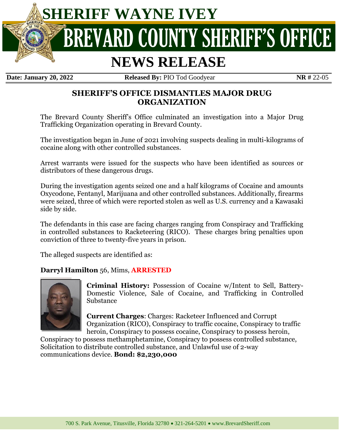

**Date: January 20, 2022 Released By:** PIO Tod Goodyear **NR #** 22-05

# **SHERIFF'S OFFICE DISMANTLES MAJOR DRUG ORGANIZATION**

The Brevard County Sheriff's Office culminated an investigation into a Major Drug Trafficking Organization operating in Brevard County.

The investigation began in June of 2021 involving suspects dealing in multi-kilograms of cocaine along with other controlled substances.

Arrest warrants were issued for the suspects who have been identified as sources or distributors of these dangerous drugs.

During the investigation agents seized one and a half kilograms of Cocaine and amounts Oxycodone, Fentanyl, Marijuana and other controlled substances. Additionally, firearms were seized, three of which were reported stolen as well as U.S. currency and a Kawasaki side by side.

The defendants in this case are facing charges ranging from Conspiracy and Trafficking in controlled substances to Racketeering (RICO). These charges bring penalties upon conviction of three to twenty-five years in prison.

The alleged suspects are identified as:

### **Darryl Hamilton** 56, Mims, **ARRESTED**



**Criminal History:** Possession of Cocaine w/Intent to Sell, Battery-Domestic Violence, Sale of Cocaine, and Trafficking in Controlled Substance

**Current Charges**: Charges: Racketeer Influenced and Corrupt Organization (RICO), Conspiracy to traffic cocaine, Conspiracy to traffic heroin, Conspiracy to possess cocaine, Conspiracy to possess heroin,

Conspiracy to possess methamphetamine, Conspiracy to possess controlled substance, Solicitation to distribute controlled substance, and Unlawful use of 2-way communications device. **Bond: \$2,230,000**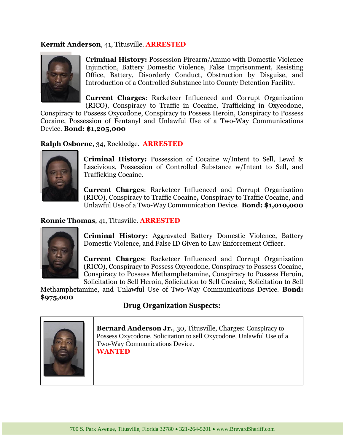### **Kermit Anderson**, 41, Titusville. **ARRESTED**



**Criminal History:** Possession Firearm/Ammo with Domestic Violence Injunction, Battery Domestic Violence, False Imprisonment, Resisting Office, Battery, Disorderly Conduct, Obstruction by Disguise, and Introduction of a Controlled Substance into County Detention Facility.

**Current Charges**: Racketeer Influenced and Corrupt Organization (RICO), Conspiracy to Traffic in Cocaine, Trafficking in Oxycodone,

Conspiracy to Possess Oxycodone, Conspiracy to Possess Heroin, Conspiracy to Possess Cocaine, Possession of Fentanyl and Unlawful Use of a Two-Way Communications Device. **Bond: \$1,205,000**

**Ralph Osborne**, 34, Rockledge. **ARRESTED**



**Criminal History:** Possession of Cocaine w/Intent to Sell, Lewd & Lascivious, Possession of Controlled Substance w/Intent to Sell, and Trafficking Cocaine.

**Current Charges**: Racketeer Influenced and Corrupt Organization (RICO), Conspiracy to Traffic Cocaine**,** Conspiracy to Traffic Cocaine, and Unlawful Use of a Two-Way Communication Device. **Bond: \$1,010,000**

#### **Ronnie Thomas**, 41, Titusville. **ARRESTED**



**Criminal History:** Aggravated Battery Domestic Violence, Battery Domestic Violence, and False ID Given to Law Enforcement Officer.

**Current Charges**: Racketeer Influenced and Corrupt Organization (RICO), Conspiracy to Possess Oxycodone, Conspiracy to Possess Cocaine, Conspiracy to Possess Methamphetamine, Conspiracy to Possess Heroin, Solicitation to Sell Heroin, Solicitation to Sell Cocaine, Solicitation to Sell

Methamphetamine, and Unlawful Use of Two-Way Communications Device. **Bond: \$975,000**

# **Drug Organization Suspects:**



**Bernard Anderson Jr.**, 30, Titusville, Charges: Conspiracy to Possess Oxycodone, Solicitation to sell Oxycodone, Unlawful Use of a Two-Way Communications Device.

**WANTED**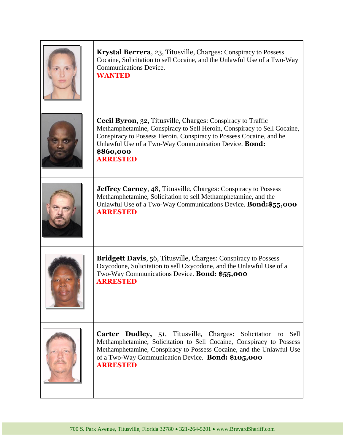| Krystal Berrera, 23, Titusville, Charges: Conspiracy to Possess<br>Cocaine, Solicitation to sell Cocaine, and the Unlawful Use of a Two-Way<br><b>Communications Device.</b><br><b>WANTED</b>                                                                                                                  |
|----------------------------------------------------------------------------------------------------------------------------------------------------------------------------------------------------------------------------------------------------------------------------------------------------------------|
| <b>Cecil Byron</b> , 32, Titusville, Charges: Conspiracy to Traffic<br>Methamphetamine, Conspiracy to Sell Heroin, Conspiracy to Sell Cocaine,<br>Conspiracy to Possess Heroin, Conspiracy to Possess Cocaine, and he<br>Unlawful Use of a Two-Way Communication Device. Bond:<br>\$860,000<br><b>ARRESTED</b> |
| <b>Jeffrey Carney, 48, Titusville, Charges: Conspiracy to Possess</b><br>Methamphetamine, Solicitation to sell Methamphetamine, and the<br>Unlawful Use of a Two-Way Communications Device. <b>Bond: \$55,000</b><br><b>ARRESTED</b>                                                                           |
| <b>Bridgett Davis, 56, Titusville, Charges: Conspiracy to Possess</b><br>Oxycodone, Solicitation to sell Oxycodone, and the Unlawful Use of a<br>Two-Way Communications Device. Bond: \$55,000<br><b>ARRESTED</b>                                                                                              |
| Carter Dudley, 51, Titusville, Charges: Solicitation to Sell<br>Methamphetamine, Solicitation to Sell Cocaine, Conspiracy to Possess<br>Methamphetamine, Conspiracy to Possess Cocaine, and the Unlawful Use<br>of a Two-Way Communication Device. Bond: \$105,000<br><b>ARRESTED</b>                          |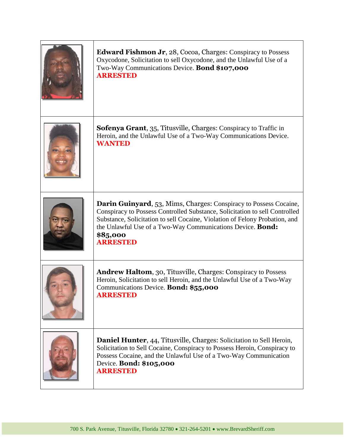| <b>Edward Fishmon Jr</b> , 28, Cocoa, Charges: Conspiracy to Possess<br>Oxycodone, Solicitation to sell Oxycodone, and the Unlawful Use of a<br>Two-Way Communications Device. Bond \$107,000<br><b>ARRESTED</b>                                                                                                             |
|------------------------------------------------------------------------------------------------------------------------------------------------------------------------------------------------------------------------------------------------------------------------------------------------------------------------------|
| <b>Sofenya Grant</b> , 35, Titusville, Charges: Conspiracy to Traffic in<br>Heroin, and the Unlawful Use of a Two-Way Communications Device.<br><b>WANTED</b>                                                                                                                                                                |
| Darin Guinyard, 53, Mims, Charges: Conspiracy to Possess Cocaine,<br>Conspiracy to Possess Controlled Substance, Solicitation to sell Controlled<br>Substance, Solicitation to sell Cocaine, Violation of Felony Probation, and<br>the Unlawful Use of a Two-Way Communications Device. Bond:<br>\$85,000<br><b>ARRESTED</b> |
| <b>Andrew Haltom</b> , 30, Titusville, Charges: Conspiracy to Possess<br>Heroin, Solicitation to sell Heroin, and the Unlawful Use of a Two-Way<br>Communications Device. Bond: \$55,000<br><b>ARRESTED</b>                                                                                                                  |
| <b>Daniel Hunter, 44, Titusville, Charges: Solicitation to Sell Heroin,</b><br>Solicitation to Sell Cocaine, Conspiracy to Possess Heroin, Conspiracy to<br>Possess Cocaine, and the Unlawful Use of a Two-Way Communication<br>Device. Bond: \$105,000<br><b>ARRESTED</b>                                                   |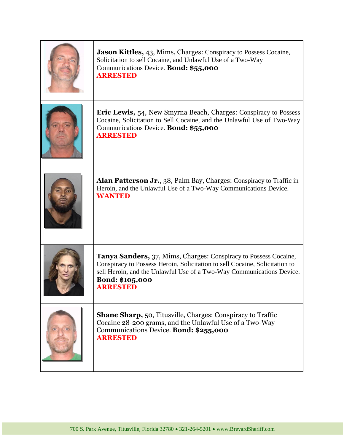| Jason Kittles, 43, Mims, Charges: Conspiracy to Possess Cocaine,<br>Solicitation to sell Cocaine, and Unlawful Use of a Two-Way<br>Communications Device. Bond: \$55,000<br><b>ARRESTED</b>                                                                                  |
|------------------------------------------------------------------------------------------------------------------------------------------------------------------------------------------------------------------------------------------------------------------------------|
| <b>Eric Lewis, 54, New Smyrna Beach, Charges: Conspiracy to Possess</b><br>Cocaine, Solicitation to Sell Cocaine, and the Unlawful Use of Two-Way<br>Communications Device. Bond: \$55,000<br><b>ARRESTED</b>                                                                |
| <b>Alan Patterson Jr.</b> , 38, Palm Bay, Charges: Conspiracy to Traffic in<br>Heroin, and the Unlawful Use of a Two-Way Communications Device.<br><b>WANTED</b>                                                                                                             |
| <b>Tanya Sanders, 37, Mims, Charges: Conspiracy to Possess Cocaine,</b><br>Conspiracy to Possess Heroin, Solicitation to sell Cocaine, Solicitation to<br>sell Heroin, and the Unlawful Use of a Two-Way Communications Device.<br><b>Bond: \$105,000</b><br><b>ARRESTED</b> |
| <b>Shane Sharp, 50, Titusville, Charges: Conspiracy to Traffic</b><br>Cocaine 28-200 grams, and the Unlawful Use of a Two-Way<br>Communications Device. Bond: \$255,000<br><b>ARRESTED</b>                                                                                   |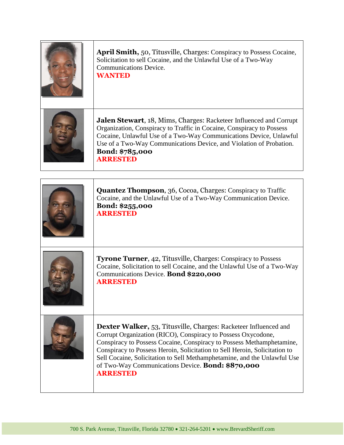| <b>April Smith, 50, Titusville, Charges: Conspiracy to Possess Cocaine,</b><br>Solicitation to sell Cocaine, and the Unlawful Use of a Two-Way<br><b>Communications Device.</b><br><b>WANTED</b>                                                                                                                                                                                                                                                    |
|-----------------------------------------------------------------------------------------------------------------------------------------------------------------------------------------------------------------------------------------------------------------------------------------------------------------------------------------------------------------------------------------------------------------------------------------------------|
| Jalen Stewart, 18, Mims, Charges: Racketeer Influenced and Corrupt<br>Organization, Conspiracy to Traffic in Cocaine, Conspiracy to Possess<br>Cocaine, Unlawful Use of a Two-Way Communications Device, Unlawful<br>Use of a Two-Way Communications Device, and Violation of Probation.<br>Bond: \$785,000<br><b>ARRESTED</b>                                                                                                                      |
| <b>Quantez Thompson</b> , 36, Cocoa, Charges: Conspiracy to Traffic<br>Cocaine, and the Unlawful Use of a Two-Way Communication Device.<br>Bond: \$255,000<br><b>ARRESTED</b>                                                                                                                                                                                                                                                                       |
| <b>Tyrone Turner, 42, Titusville, Charges: Conspiracy to Possess</b><br>Cocaine, Solicitation to sell Cocaine, and the Unlawful Use of a Two-Way<br>Communications Device. Bond \$220,000<br><b>ARRESTED</b>                                                                                                                                                                                                                                        |
| <b>Dexter Walker, 53, Titusville, Charges: Racketeer Influenced and</b><br>Corrupt Organization (RICO), Conspiracy to Possess Oxycodone,<br>Conspiracy to Possess Cocaine, Conspiracy to Possess Methamphetamine,<br>Conspiracy to Possess Heroin, Solicitation to Sell Heroin, Solicitation to<br>Sell Cocaine, Solicitation to Sell Methamphetamine, and the Unlawful Use<br>of Two-Way Communications Device. Bond: \$870,000<br><b>ARRESTED</b> |